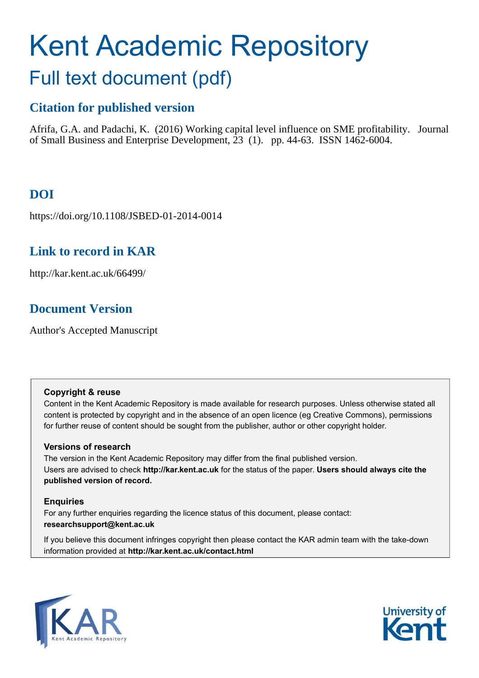# Kent Academic Repository Full text document (pdf)

# **Citation for published version**

Afrifa, G.A. and Padachi, K. (2016) Working capital level influence on SME profitability. Journal of Small Business and Enterprise Development,  $\hat{2}3$  (1). pp. 44-63. ISSN 1462-6004.

# **DOI**

https://doi.org/10.1108/JSBED-01-2014-0014

# **Link to record in KAR**

http://kar.kent.ac.uk/66499/

# **Document Version**

Author's Accepted Manuscript

### **Copyright & reuse**

Content in the Kent Academic Repository is made available for research purposes. Unless otherwise stated all content is protected by copyright and in the absence of an open licence (eg Creative Commons), permissions for further reuse of content should be sought from the publisher, author or other copyright holder.

### **Versions of research**

The version in the Kent Academic Repository may differ from the final published version. Users are advised to check **http://kar.kent.ac.uk** for the status of the paper. **Users should always cite the published version of record.**

### **Enquiries**

For any further enquiries regarding the licence status of this document, please contact: **researchsupport@kent.ac.uk**

If you believe this document infringes copyright then please contact the KAR admin team with the take-down information provided at **http://kar.kent.ac.uk/contact.html**



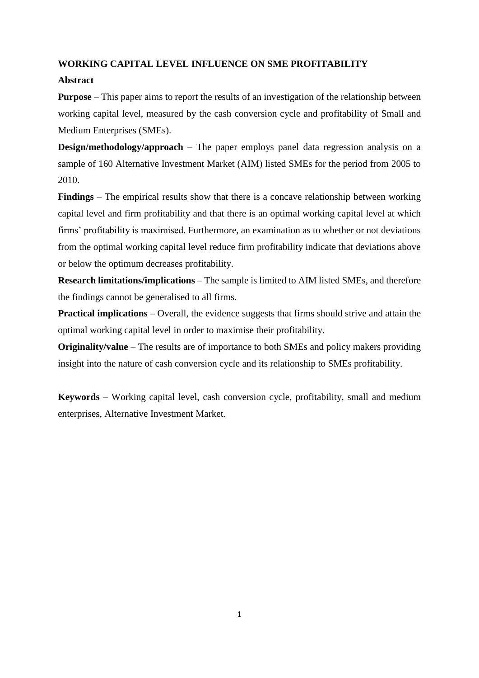## **WORKING CAPITAL LEVEL INFLUENCE ON SME PROFITABILITY**

### **Abstract**

**Purpose** – This paper aims to report the results of an investigation of the relationship between working capital level, measured by the cash conversion cycle and profitability of Small and Medium Enterprises (SMEs).

**Design/methodology/approach** – The paper employs panel data regression analysis on a sample of 160 Alternative Investment Market (AIM) listed SMEs for the period from 2005 to 2010.

**Findings** – The empirical results show that there is a concave relationship between working capital level and firm profitability and that there is an optimal working capital level at which firms' profitability is maximised. Furthermore, an examination as to whether or not deviations from the optimal working capital level reduce firm profitability indicate that deviations above or below the optimum decreases profitability.

**Research limitations/implications** – The sample is limited to AIM listed SMEs, and therefore the findings cannot be generalised to all firms.

**Practical implications** – Overall, the evidence suggests that firms should strive and attain the optimal working capital level in order to maximise their profitability.

**Originality/value** – The results are of importance to both SMEs and policy makers providing insight into the nature of cash conversion cycle and its relationship to SMEs profitability.

**Keywords** – Working capital level, cash conversion cycle, profitability, small and medium enterprises, Alternative Investment Market.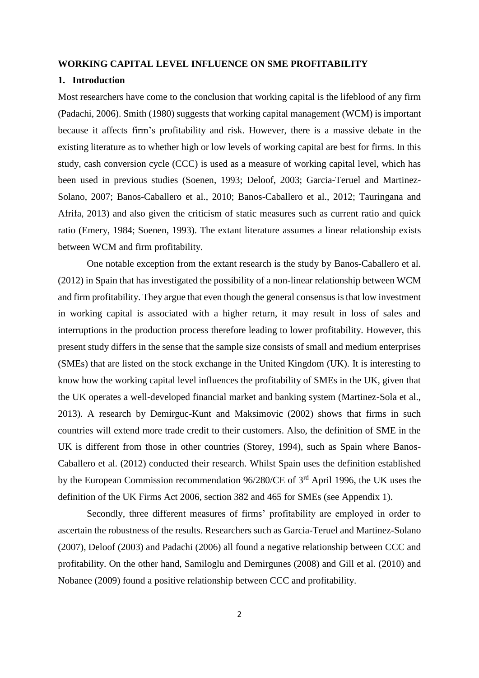#### **WORKING CAPITAL LEVEL INFLUENCE ON SME PROFITABILITY**

#### **1. Introduction**

Most researchers have come to the conclusion that working capital is the lifeblood of any firm (Padachi, 2006). Smith (1980) suggests that working capital management (WCM) is important because it affects firm's profitability and risk. However, there is a massive debate in the existing literature as to whether high or low levels of working capital are best for firms. In this study, cash conversion cycle (CCC) is used as a measure of working capital level, which has been used in previous studies (Soenen, 1993; Deloof, 2003; Garcia-Teruel and Martinez-Solano, 2007; Banos-Caballero et al., 2010; Banos-Caballero et al., 2012; Tauringana and Afrifa, 2013) and also given the criticism of static measures such as current ratio and quick ratio (Emery, 1984; Soenen, 1993). The extant literature assumes a linear relationship exists between WCM and firm profitability.

One notable exception from the extant research is the study by Banos-Caballero et al. (2012) in Spain that has investigated the possibility of a non-linear relationship between WCM and firm profitability. They argue that even though the general consensus is that low investment in working capital is associated with a higher return, it may result in loss of sales and interruptions in the production process therefore leading to lower profitability. However, this present study differs in the sense that the sample size consists of small and medium enterprises (SMEs) that are listed on the stock exchange in the United Kingdom (UK). It is interesting to know how the working capital level influences the profitability of SMEs in the UK, given that the UK operates a well-developed financial market and banking system (Martinez-Sola et al., 2013). A research by Demirguc-Kunt and Maksimovic (2002) shows that firms in such countries will extend more trade credit to their customers. Also, the definition of SME in the UK is different from those in other countries (Storey, 1994), such as Spain where Banos-Caballero et al. (2012) conducted their research. Whilst Spain uses the definition established by the European Commission recommendation 96/280/CE of 3rd April 1996, the UK uses the definition of the UK Firms Act 2006, section 382 and 465 for SMEs (see Appendix 1).

Secondly, three different measures of firms' profitability are employed in order to ascertain the robustness of the results. Researchers such as Garcia-Teruel and Martinez-Solano (2007), Deloof (2003) and Padachi (2006) all found a negative relationship between CCC and profitability. On the other hand, Samiloglu and Demirgunes (2008) and Gill et al. (2010) and Nobanee (2009) found a positive relationship between CCC and profitability.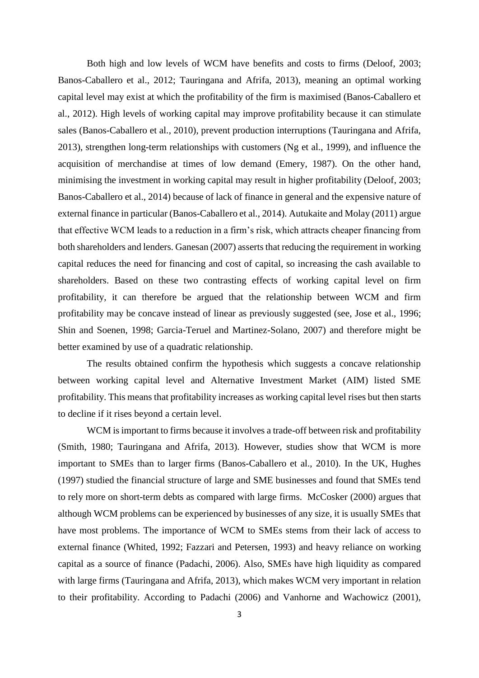Both high and low levels of WCM have benefits and costs to firms (Deloof, 2003; Banos-Caballero et al., 2012; Tauringana and Afrifa, 2013), meaning an optimal working capital level may exist at which the profitability of the firm is maximised (Banos-Caballero et al., 2012). High levels of working capital may improve profitability because it can stimulate sales (Banos-Caballero et al., 2010), prevent production interruptions (Tauringana and Afrifa, 2013), strengthen long-term relationships with customers (Ng et al., 1999), and influence the acquisition of merchandise at times of low demand (Emery, 1987). On the other hand, minimising the investment in working capital may result in higher profitability (Deloof, 2003; Banos-Caballero et al., 2014) because of lack of finance in general and the expensive nature of external finance in particular (Banos-Caballero et al., 2014). Autukaite and Molay (2011) argue that effective WCM leads to a reduction in a firm's risk, which attracts cheaper financing from both shareholders and lenders. Ganesan (2007) asserts that reducing the requirement in working capital reduces the need for financing and cost of capital, so increasing the cash available to shareholders. Based on these two contrasting effects of working capital level on firm profitability, it can therefore be argued that the relationship between WCM and firm profitability may be concave instead of linear as previously suggested (see, Jose et al., 1996; Shin and Soenen, 1998; Garcia-Teruel and Martinez-Solano, 2007) and therefore might be better examined by use of a quadratic relationship.

The results obtained confirm the hypothesis which suggests a concave relationship between working capital level and Alternative Investment Market (AIM) listed SME profitability. This means that profitability increases as working capital level rises but then starts to decline if it rises beyond a certain level.

WCM is important to firms because it involves a trade-off between risk and profitability (Smith, 1980; Tauringana and Afrifa, 2013). However, studies show that WCM is more important to SMEs than to larger firms (Banos-Caballero et al., 2010). In the UK, Hughes (1997) studied the financial structure of large and SME businesses and found that SMEs tend to rely more on short-term debts as compared with large firms. McCosker (2000) argues that although WCM problems can be experienced by businesses of any size, it is usually SMEs that have most problems. The importance of WCM to SMEs stems from their lack of access to external finance (Whited, 1992; Fazzari and Petersen, 1993) and heavy reliance on working capital as a source of finance (Padachi, 2006). Also, SMEs have high liquidity as compared with large firms (Tauringana and Afrifa, 2013), which makes WCM very important in relation to their profitability. According to Padachi (2006) and Vanhorne and Wachowicz (2001),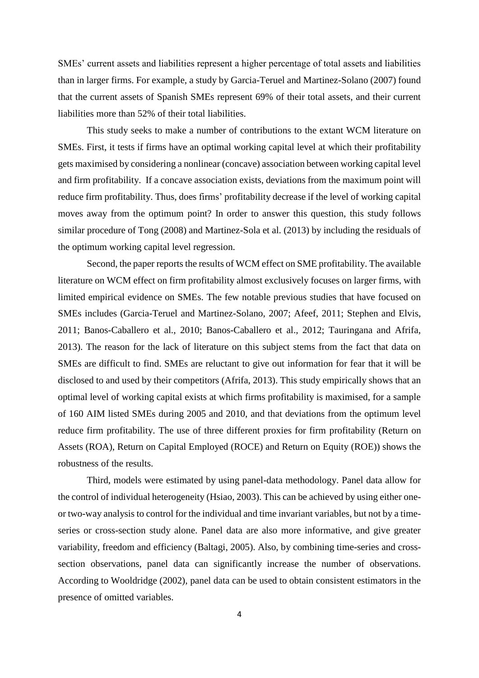SMEs' current assets and liabilities represent a higher percentage of total assets and liabilities than in larger firms. For example, a study by Garcia-Teruel and Martinez-Solano (2007) found that the current assets of Spanish SMEs represent 69% of their total assets, and their current liabilities more than 52% of their total liabilities.

This study seeks to make a number of contributions to the extant WCM literature on SMEs. First, it tests if firms have an optimal working capital level at which their profitability gets maximised by considering a nonlinear (concave) association between working capital level and firm profitability. If a concave association exists, deviations from the maximum point will reduce firm profitability. Thus, does firms' profitability decrease if the level of working capital moves away from the optimum point? In order to answer this question, this study follows similar procedure of Tong (2008) and Martinez-Sola et al. (2013) by including the residuals of the optimum working capital level regression.

Second, the paper reports the results of WCM effect on SME profitability. The available literature on WCM effect on firm profitability almost exclusively focuses on larger firms, with limited empirical evidence on SMEs. The few notable previous studies that have focused on SMEs includes (Garcia-Teruel and Martinez-Solano, 2007; Afeef, 2011; Stephen and Elvis, 2011; Banos-Caballero et al., 2010; Banos-Caballero et al., 2012; Tauringana and Afrifa, 2013). The reason for the lack of literature on this subject stems from the fact that data on SMEs are difficult to find. SMEs are reluctant to give out information for fear that it will be disclosed to and used by their competitors (Afrifa, 2013). This study empirically shows that an optimal level of working capital exists at which firms profitability is maximised, for a sample of 160 AIM listed SMEs during 2005 and 2010, and that deviations from the optimum level reduce firm profitability. The use of three different proxies for firm profitability (Return on Assets (ROA), Return on Capital Employed (ROCE) and Return on Equity (ROE)) shows the robustness of the results.

Third, models were estimated by using panel-data methodology. Panel data allow for the control of individual heterogeneity (Hsiao, 2003). This can be achieved by using either oneor two-way analysis to control for the individual and time invariant variables, but not by a timeseries or cross-section study alone. Panel data are also more informative, and give greater variability, freedom and efficiency (Baltagi, 2005). Also, by combining time-series and crosssection observations, panel data can significantly increase the number of observations. According to Wooldridge (2002), panel data can be used to obtain consistent estimators in the presence of omitted variables.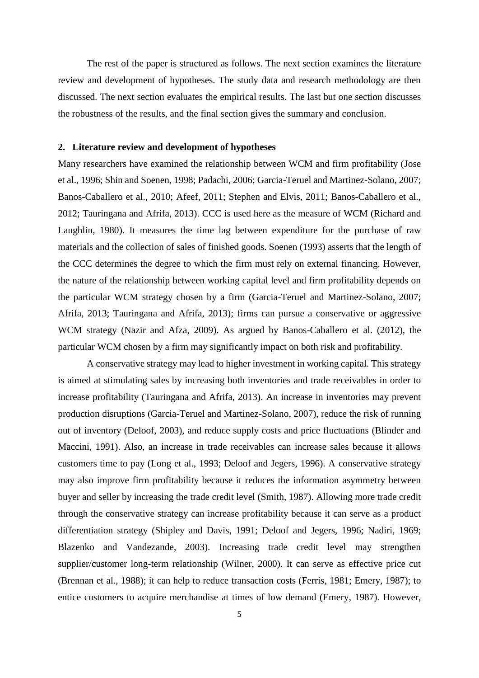The rest of the paper is structured as follows. The next section examines the literature review and development of hypotheses. The study data and research methodology are then discussed. The next section evaluates the empirical results. The last but one section discusses the robustness of the results, and the final section gives the summary and conclusion.

#### **2. Literature review and development of hypotheses**

Many researchers have examined the relationship between WCM and firm profitability (Jose et al., 1996; Shin and Soenen, 1998; Padachi, 2006; Garcia-Teruel and Martinez-Solano, 2007; Banos-Caballero et al., 2010; Afeef, 2011; Stephen and Elvis, 2011; Banos-Caballero et al., 2012; Tauringana and Afrifa, 2013). CCC is used here as the measure of WCM (Richard and Laughlin, 1980). It measures the time lag between expenditure for the purchase of raw materials and the collection of sales of finished goods. Soenen (1993) asserts that the length of the CCC determines the degree to which the firm must rely on external financing. However, the nature of the relationship between working capital level and firm profitability depends on the particular WCM strategy chosen by a firm (Garcia-Teruel and Martinez-Solano, 2007; Afrifa, 2013; Tauringana and Afrifa, 2013); firms can pursue a conservative or aggressive WCM strategy (Nazir and Afza, 2009). As argued by Banos-Caballero et al. (2012), the particular WCM chosen by a firm may significantly impact on both risk and profitability.

A conservative strategy may lead to higher investment in working capital. This strategy is aimed at stimulating sales by increasing both inventories and trade receivables in order to increase profitability (Tauringana and Afrifa, 2013). An increase in inventories may prevent production disruptions (Garcia-Teruel and Martinez-Solano, 2007), reduce the risk of running out of inventory (Deloof, 2003), and reduce supply costs and price fluctuations (Blinder and Maccini, 1991). Also, an increase in trade receivables can increase sales because it allows customers time to pay (Long et al., 1993; Deloof and Jegers, 1996). A conservative strategy may also improve firm profitability because it reduces the information asymmetry between buyer and seller by increasing the trade credit level (Smith, 1987). Allowing more trade credit through the conservative strategy can increase profitability because it can serve as a product differentiation strategy (Shipley and Davis, 1991; Deloof and Jegers, 1996; Nadiri, 1969; Blazenko and Vandezande, 2003). Increasing trade credit level may strengthen supplier/customer long-term relationship (Wilner, 2000). It can serve as effective price cut (Brennan et al., 1988); it can help to reduce transaction costs (Ferris, 1981; Emery, 1987); to entice customers to acquire merchandise at times of low demand (Emery, 1987). However,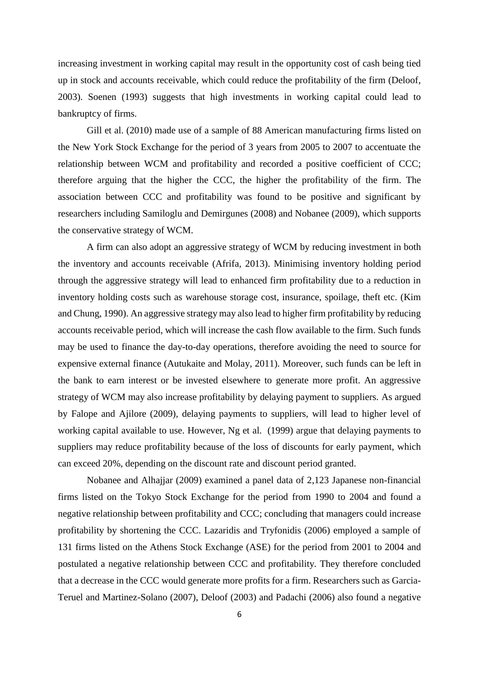increasing investment in working capital may result in the opportunity cost of cash being tied up in stock and accounts receivable, which could reduce the profitability of the firm (Deloof, 2003). Soenen (1993) suggests that high investments in working capital could lead to bankruptcy of firms.

Gill et al. (2010) made use of a sample of 88 American manufacturing firms listed on the New York Stock Exchange for the period of 3 years from 2005 to 2007 to accentuate the relationship between WCM and profitability and recorded a positive coefficient of CCC; therefore arguing that the higher the CCC, the higher the profitability of the firm. The association between CCC and profitability was found to be positive and significant by researchers including Samiloglu and Demirgunes (2008) and Nobanee (2009), which supports the conservative strategy of WCM.

A firm can also adopt an aggressive strategy of WCM by reducing investment in both the inventory and accounts receivable (Afrifa, 2013). Minimising inventory holding period through the aggressive strategy will lead to enhanced firm profitability due to a reduction in inventory holding costs such as warehouse storage cost, insurance, spoilage, theft etc. (Kim and Chung, 1990). An aggressive strategy may also lead to higher firm profitability by reducing accounts receivable period, which will increase the cash flow available to the firm. Such funds may be used to finance the day-to-day operations, therefore avoiding the need to source for expensive external finance (Autukaite and Molay, 2011). Moreover, such funds can be left in the bank to earn interest or be invested elsewhere to generate more profit. An aggressive strategy of WCM may also increase profitability by delaying payment to suppliers. As argued by Falope and Ajilore (2009), delaying payments to suppliers, will lead to higher level of working capital available to use. However, Ng et al. (1999) argue that delaying payments to suppliers may reduce profitability because of the loss of discounts for early payment, which can exceed 20%, depending on the discount rate and discount period granted.

Nobanee and Alhajjar (2009) examined a panel data of 2,123 Japanese non-financial firms listed on the Tokyo Stock Exchange for the period from 1990 to 2004 and found a negative relationship between profitability and CCC; concluding that managers could increase profitability by shortening the CCC. Lazaridis and Tryfonidis (2006) employed a sample of 131 firms listed on the Athens Stock Exchange (ASE) for the period from 2001 to 2004 and postulated a negative relationship between CCC and profitability. They therefore concluded that a decrease in the CCC would generate more profits for a firm. Researchers such as Garcia-Teruel and Martinez-Solano (2007), Deloof (2003) and Padachi (2006) also found a negative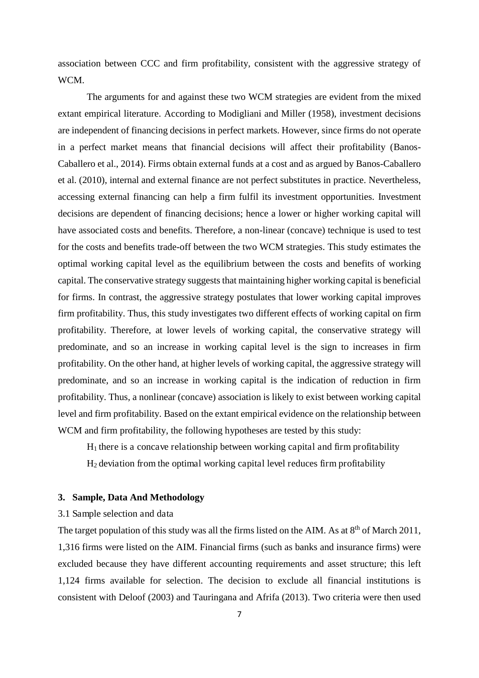association between CCC and firm profitability, consistent with the aggressive strategy of WCM.

The arguments for and against these two WCM strategies are evident from the mixed extant empirical literature. According to Modigliani and Miller (1958), investment decisions are independent of financing decisions in perfect markets. However, since firms do not operate in a perfect market means that financial decisions will affect their profitability (Banos-Caballero et al., 2014). Firms obtain external funds at a cost and as argued by Banos-Caballero et al. (2010), internal and external finance are not perfect substitutes in practice. Nevertheless, accessing external financing can help a firm fulfil its investment opportunities. Investment decisions are dependent of financing decisions; hence a lower or higher working capital will have associated costs and benefits. Therefore, a non-linear (concave) technique is used to test for the costs and benefits trade-off between the two WCM strategies. This study estimates the optimal working capital level as the equilibrium between the costs and benefits of working capital. The conservative strategy suggests that maintaining higher working capital is beneficial for firms. In contrast, the aggressive strategy postulates that lower working capital improves firm profitability. Thus, this study investigates two different effects of working capital on firm profitability. Therefore, at lower levels of working capital, the conservative strategy will predominate, and so an increase in working capital level is the sign to increases in firm profitability. On the other hand, at higher levels of working capital, the aggressive strategy will predominate, and so an increase in working capital is the indication of reduction in firm profitability. Thus, a nonlinear (concave) association is likely to exist between working capital level and firm profitability. Based on the extant empirical evidence on the relationship between WCM and firm profitability, the following hypotheses are tested by this study:

 $H_1$  there is a concave relationship between working capital and firm profitability H2 deviation from the optimal working capital level reduces firm profitability

#### **3. Sample, Data And Methodology**

#### 3.1 Sample selection and data

The target population of this study was all the firms listed on the AIM. As at  $8<sup>th</sup>$  of March 2011, 1,316 firms were listed on the AIM. Financial firms (such as banks and insurance firms) were excluded because they have different accounting requirements and asset structure; this left 1,124 firms available for selection. The decision to exclude all financial institutions is consistent with Deloof (2003) and Tauringana and Afrifa (2013). Two criteria were then used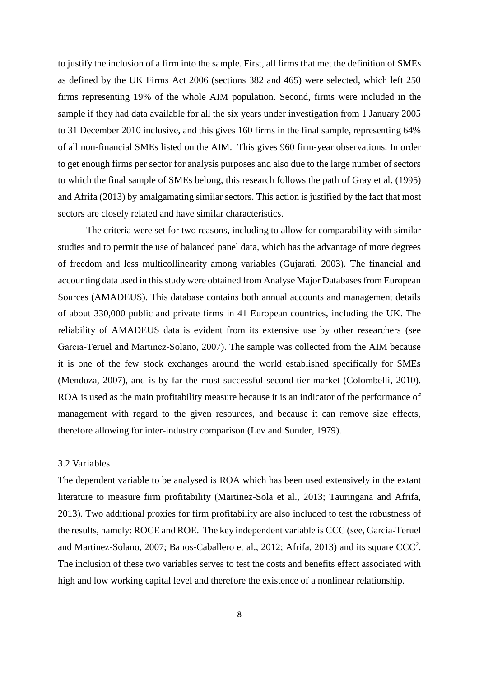to justify the inclusion of a firm into the sample. First, all firms that met the definition of SMEs as defined by the UK Firms Act 2006 (sections 382 and 465) were selected, which left 250 firms representing 19% of the whole AIM population. Second, firms were included in the sample if they had data available for all the six years under investigation from 1 January 2005 to 31 December 2010 inclusive, and this gives 160 firms in the final sample, representing 64% of all non-financial SMEs listed on the AIM. This gives 960 firm-year observations. In order to get enough firms per sector for analysis purposes and also due to the large number of sectors to which the final sample of SMEs belong, this research follows the path of Gray et al. (1995) and Afrifa (2013) by amalgamating similar sectors. This action is justified by the fact that most sectors are closely related and have similar characteristics.

The criteria were set for two reasons, including to allow for comparability with similar studies and to permit the use of balanced panel data, which has the advantage of more degrees of freedom and less multicollinearity among variables (Gujarati, 2003). The financial and accounting data used in this study were obtained from Analyse Major Databases from European Sources (AMADEUS). This database contains both annual accounts and management details of about 330,000 public and private firms in 41 European countries, including the UK. The reliability of AMADEUS data is evident from its extensive use by other researchers (see Garcıa-Teruel and Martınez-Solano, 2007). The sample was collected from the AIM because it is one of the few stock exchanges around the world established specifically for SMEs (Mendoza, 2007), and is by far the most successful second-tier market (Colombelli, 2010). ROA is used as the main profitability measure because it is an indicator of the performance of management with regard to the given resources, and because it can remove size effects, therefore allowing for inter-industry comparison (Lev and Sunder, 1979).

#### 3.2 Variables

The dependent variable to be analysed is ROA which has been used extensively in the extant literature to measure firm profitability (Martinez-Sola et al., 2013; Tauringana and Afrifa, 2013). Two additional proxies for firm profitability are also included to test the robustness of the results, namely: ROCE and ROE. The key independent variable is CCC (see, Garcia-Teruel and Martinez-Solano, 2007; Banos-Caballero et al., 2012; Afrifa, 2013) and its square CCC<sup>2</sup>. The inclusion of these two variables serves to test the costs and benefits effect associated with high and low working capital level and therefore the existence of a nonlinear relationship.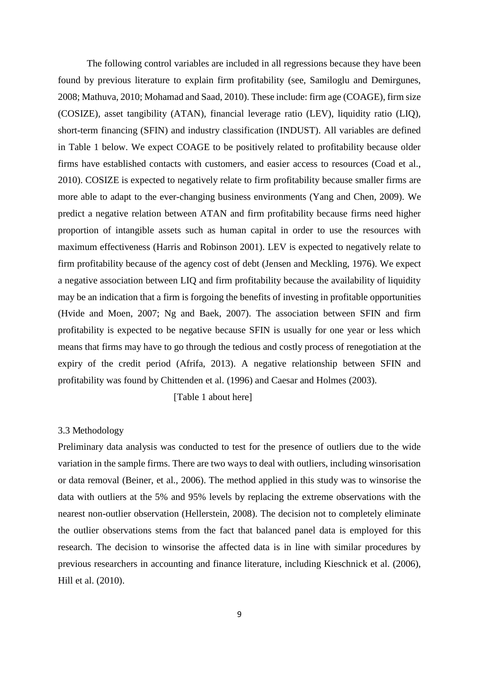The following control variables are included in all regressions because they have been found by previous literature to explain firm profitability (see, Samiloglu and Demirgunes, 2008; Mathuva, 2010; Mohamad and Saad, 2010). These include: firm age (COAGE), firm size (COSIZE), asset tangibility (ATAN), financial leverage ratio (LEV), liquidity ratio (LIQ), short-term financing (SFIN) and industry classification (INDUST). All variables are defined in Table 1 below. We expect COAGE to be positively related to profitability because older firms have established contacts with customers, and easier access to resources (Coad et al., 2010). COSIZE is expected to negatively relate to firm profitability because smaller firms are more able to adapt to the ever-changing business environments (Yang and Chen, 2009). We predict a negative relation between ATAN and firm profitability because firms need higher proportion of intangible assets such as human capital in order to use the resources with maximum effectiveness (Harris and Robinson 2001). LEV is expected to negatively relate to firm profitability because of the agency cost of debt (Jensen and Meckling, 1976). We expect a negative association between LIQ and firm profitability because the availability of liquidity may be an indication that a firm is forgoing the benefits of investing in profitable opportunities (Hvide and Moen, 2007; Ng and Baek, 2007). The association between SFIN and firm profitability is expected to be negative because SFIN is usually for one year or less which means that firms may have to go through the tedious and costly process of renegotiation at the expiry of the credit period (Afrifa, 2013). A negative relationship between SFIN and profitability was found by Chittenden et al. (1996) and Caesar and Holmes (2003).

[Table 1 about here]

#### 3.3 Methodology

Preliminary data analysis was conducted to test for the presence of outliers due to the wide variation in the sample firms. There are two ways to deal with outliers, including winsorisation or data removal (Beiner, et al., 2006). The method applied in this study was to winsorise the data with outliers at the 5% and 95% levels by replacing the extreme observations with the nearest non-outlier observation (Hellerstein, 2008). The decision not to completely eliminate the outlier observations stems from the fact that balanced panel data is employed for this research. The decision to winsorise the affected data is in line with similar procedures by previous researchers in accounting and finance literature, including Kieschnick et al. (2006), Hill et al. (2010).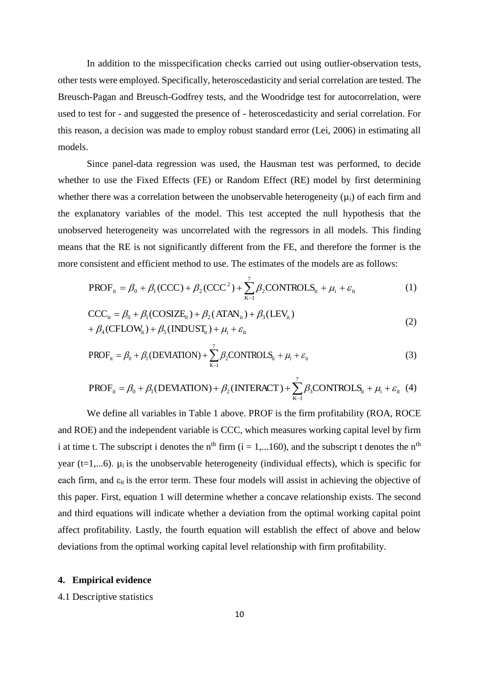In addition to the misspecification checks carried out using outlier-observation tests, other tests were employed. Specifically, heteroscedasticity and serial correlation are tested. The Breusch-Pagan and Breusch-Godfrey tests, and the Woodridge test for autocorrelation, were used to test for - and suggested the presence of - heteroscedasticity and serial correlation. For this reason, a decision was made to employ robust standard error (Lei, 2006) in estimating all models.

Since panel-data regression was used, the Hausman test was performed, to decide whether to use the Fixed Effects (FE) or Random Effect (RE) model by first determining whether there was a correlation between the unobservable heterogeneity  $(\mu_i)$  of each firm and the explanatory variables of the model. This test accepted the null hypothesis that the unobserved heterogeneity was uncorrelated with the regressors in all models. This finding means that the RE is not significantly different from the FE, and therefore the former is the more consistent and efficient method to use. The estimates of the models are as follows:

$$
PROF_{it} = \beta_0 + \beta_1 (CCC) + \beta_2 (CCC^2) + \sum_{K-1}^{7} \beta_2 CONTROLS_{it} + \mu_i + \varepsilon_{it}
$$
 (1)

$$
CCCit = \beta0 + \beta1(COSIZEit) + \beta2(ATANit) + \beta3(LEVit)+ \beta4(CFLOWit) + \beta5(INDUSTit) + \mui + \varepsilonit
$$
\n(2)

$$
PROF_{it} = \beta_0 + \beta_1 (DEVIATION) + \sum_{K-1}^{7} \beta_2 CONTROLS_{it} + \mu_i + \varepsilon_{it}
$$
 (3)

$$
PROF_{it} = \beta_0 + \beta_1 (DEVIATION) + \beta_2 (INTERACT) + \sum_{K-1}^{7} \beta_3 CONTROLS_{it} + \mu_i + \varepsilon_{it} \tag{4}
$$

We define all variables in Table 1 above. PROF is the firm profitability (ROA, ROCE and ROE) and the independent variable is CCC, which measures working capital level by firm i at time t. The subscript i denotes the n<sup>th</sup> firm ( $i = 1,...160$ ), and the subscript t denotes the n<sup>th</sup> year (t=1,...6).  $\mu_i$  is the unobservable heterogeneity (individual effects), which is specific for each firm, and  $\varepsilon_{it}$  is the error term. These four models will assist in achieving the objective of this paper. First, equation 1 will determine whether a concave relationship exists. The second and third equations will indicate whether a deviation from the optimal working capital point affect profitability. Lastly, the fourth equation will establish the effect of above and below deviations from the optimal working capital level relationship with firm profitability.

#### **4. Empirical evidence**

#### 4.1 Descriptive statistics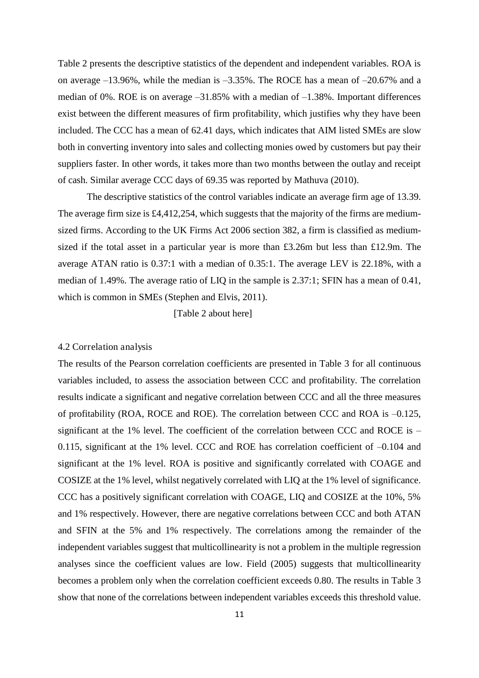Table 2 presents the descriptive statistics of the dependent and independent variables. ROA is on average –13.96%, while the median is –3.35%. The ROCE has a mean of –20.67% and a median of 0%. ROE is on average –31.85% with a median of –1.38%. Important differences exist between the different measures of firm profitability, which justifies why they have been included. The CCC has a mean of 62.41 days, which indicates that AIM listed SMEs are slow both in converting inventory into sales and collecting monies owed by customers but pay their suppliers faster. In other words, it takes more than two months between the outlay and receipt of cash. Similar average CCC days of 69.35 was reported by Mathuva (2010).

The descriptive statistics of the control variables indicate an average firm age of 13.39. The average firm size is £4,412,254, which suggests that the majority of the firms are mediumsized firms. According to the UK Firms Act 2006 section 382, a firm is classified as mediumsized if the total asset in a particular year is more than £3.26m but less than £12.9m. The average ATAN ratio is 0.37:1 with a median of 0.35:1. The average LEV is 22.18%, with a median of 1.49%. The average ratio of LIQ in the sample is 2.37:1; SFIN has a mean of 0.41, which is common in SMEs (Stephen and Elvis, 2011).

[Table 2 about here]

#### 4.2 Correlation analysis

The results of the Pearson correlation coefficients are presented in Table 3 for all continuous variables included, to assess the association between CCC and profitability. The correlation results indicate a significant and negative correlation between CCC and all the three measures of profitability (ROA, ROCE and ROE). The correlation between CCC and ROA is –0.125, significant at the 1% level. The coefficient of the correlation between CCC and ROCE is – 0.115, significant at the 1% level. CCC and ROE has correlation coefficient of –0.104 and significant at the 1% level. ROA is positive and significantly correlated with COAGE and COSIZE at the 1% level, whilst negatively correlated with LIQ at the 1% level of significance. CCC has a positively significant correlation with COAGE, LIQ and COSIZE at the 10%, 5% and 1% respectively. However, there are negative correlations between CCC and both ATAN and SFIN at the 5% and 1% respectively. The correlations among the remainder of the independent variables suggest that multicollinearity is not a problem in the multiple regression analyses since the coefficient values are low. Field (2005) suggests that multicollinearity becomes a problem only when the correlation coefficient exceeds 0.80. The results in Table 3 show that none of the correlations between independent variables exceeds this threshold value.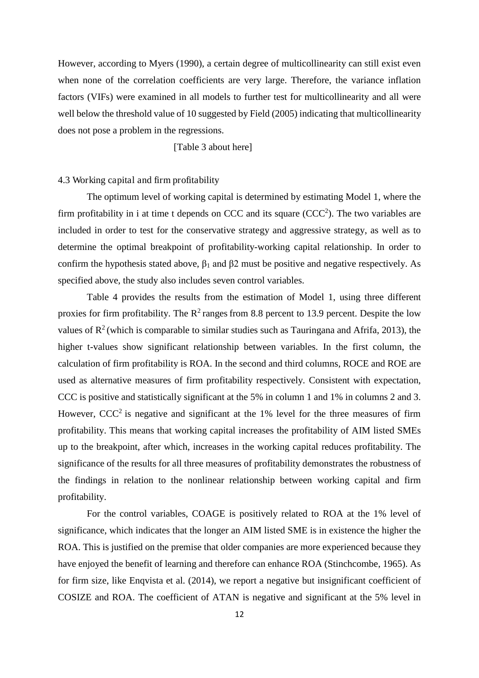However, according to Myers (1990), a certain degree of multicollinearity can still exist even when none of the correlation coefficients are very large. Therefore, the variance inflation factors (VIFs) were examined in all models to further test for multicollinearity and all were well below the threshold value of 10 suggested by Field (2005) indicating that multicollinearity does not pose a problem in the regressions.

[Table 3 about here]

## 4.3 Working capital and firm profitability

The optimum level of working capital is determined by estimating Model 1, where the firm profitability in i at time t depends on CCC and its square  $(CCC<sup>2</sup>)$ . The two variables are included in order to test for the conservative strategy and aggressive strategy, as well as to determine the optimal breakpoint of profitability-working capital relationship. In order to confirm the hypothesis stated above,  $\beta_1$  and  $\beta_2$  must be positive and negative respectively. As specified above, the study also includes seven control variables.

Table 4 provides the results from the estimation of Model 1, using three different proxies for firm profitability. The  $R^2$  ranges from 8.8 percent to 13.9 percent. Despite the low values of  $R^2$  (which is comparable to similar studies such as Tauringana and Afrifa, 2013), the higher t-values show significant relationship between variables. In the first column, the calculation of firm profitability is ROA. In the second and third columns, ROCE and ROE are used as alternative measures of firm profitability respectively. Consistent with expectation, CCC is positive and statistically significant at the 5% in column 1 and 1% in columns 2 and 3. However,  $CCC<sup>2</sup>$  is negative and significant at the 1% level for the three measures of firm profitability. This means that working capital increases the profitability of AIM listed SMEs up to the breakpoint, after which, increases in the working capital reduces profitability. The significance of the results for all three measures of profitability demonstrates the robustness of the findings in relation to the nonlinear relationship between working capital and firm profitability.

For the control variables, COAGE is positively related to ROA at the 1% level of significance, which indicates that the longer an AIM listed SME is in existence the higher the ROA. This is justified on the premise that older companies are more experienced because they have enjoyed the benefit of learning and therefore can enhance ROA (Stinchcombe, 1965). As for firm size, like Enqvista et al. (2014), we report a negative but insignificant coefficient of COSIZE and ROA. The coefficient of ATAN is negative and significant at the 5% level in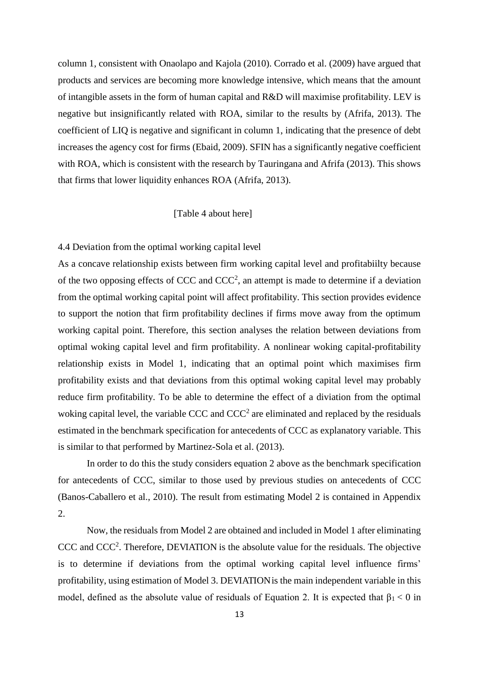column 1, consistent with Onaolapo and Kajola (2010). Corrado et al. (2009) have argued that products and services are becoming more knowledge intensive, which means that the amount of intangible assets in the form of human capital and R&D will maximise profitability. LEV is negative but insignificantly related with ROA, similar to the results by (Afrifa, 2013). The coefficient of LIQ is negative and significant in column 1, indicating that the presence of debt increases the agency cost for firms (Ebaid, 2009). SFIN has a significantly negative coefficient with ROA, which is consistent with the research by Tauringana and Afrifa (2013). This shows that firms that lower liquidity enhances ROA (Afrifa, 2013).

#### [Table 4 about here]

#### 4.4 Deviation from the optimal working capital level

As a concave relationship exists between firm working capital level and profitabiilty because of the two opposing effects of CCC and  $CCC<sup>2</sup>$ , an attempt is made to determine if a deviation from the optimal working capital point will affect profitability. This section provides evidence to support the notion that firm profitability declines if firms move away from the optimum working capital point. Therefore, this section analyses the relation between deviations from optimal woking capital level and firm profitability. A nonlinear woking capital-profitability relationship exists in Model 1, indicating that an optimal point which maximises firm profitability exists and that deviations from this optimal woking capital level may probably reduce firm profitability. To be able to determine the effect of a diviation from the optimal woking capital level, the variable CCC and  $CCC<sup>2</sup>$  are eliminated and replaced by the residuals estimated in the benchmark specification for antecedents of CCC as explanatory variable. This is similar to that performed by Martinez-Sola et al. (2013).

 In order to do this the study considers equation 2 above as the benchmark specification for antecedents of CCC, similar to those used by previous studies on antecedents of CCC (Banos-Caballero et al., 2010). The result from estimating Model 2 is contained in Appendix 2.

 Now, the residuals from Model 2 are obtained and included in Model 1 after eliminating CCC and CCC<sup>2</sup>. Therefore, DEVIATION is the absolute value for the residuals. The objective is to determine if deviations from the optimal working capital level influence firms' profitability, using estimation of Model 3. DEVIATIONis the main independent variable in this model, defined as the absolute value of residuals of Equation 2. It is expected that  $\beta_1 < 0$  in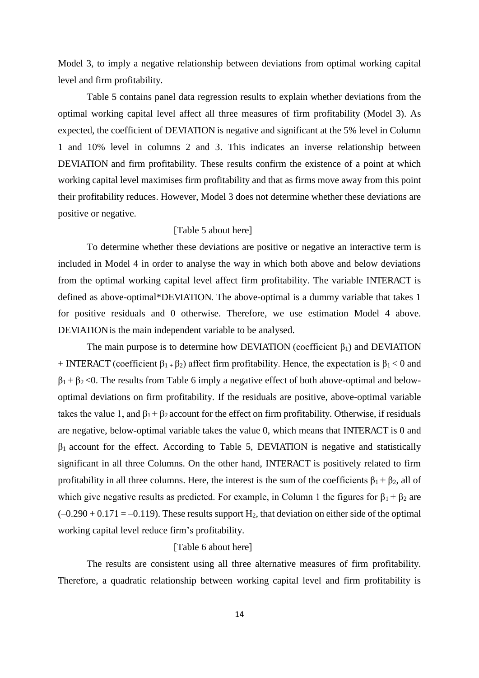Model 3, to imply a negative relationship between deviations from optimal working capital level and firm profitability.

 Table 5 contains panel data regression results to explain whether deviations from the optimal working capital level affect all three measures of firm profitability (Model 3). As expected, the coefficient of DEVIATION is negative and significant at the 5% level in Column 1 and 10% level in columns 2 and 3. This indicates an inverse relationship between DEVIATION and firm profitability. These results confirm the existence of a point at which working capital level maximises firm profitability and that as firms move away from this point their profitability reduces. However, Model 3 does not determine whether these deviations are positive or negative.

#### [Table 5 about here]

To determine whether these deviations are positive or negative an interactive term is included in Model 4 in order to analyse the way in which both above and below deviations from the optimal working capital level affect firm profitability. The variable INTERACT is defined as above-optimal\*DEVIATION. The above-optimal is a dummy variable that takes 1 for positive residuals and 0 otherwise. Therefore, we use estimation Model 4 above. DEVIATION is the main independent variable to be analysed.

The main purpose is to determine how DEVIATION (coefficient  $\beta_1$ ) and DEVIATION + INTERACT (coefficient  $\beta_1$  +  $\beta_2$ ) affect firm profitability. Hence, the expectation is  $\beta_1$  < 0 and  $\beta_1 + \beta_2 < 0$ . The results from Table 6 imply a negative effect of both above-optimal and belowoptimal deviations on firm profitability. If the residuals are positive, above-optimal variable takes the value 1, and  $\beta_1 + \beta_2$  account for the effect on firm profitability. Otherwise, if residuals are negative, below-optimal variable takes the value 0, which means that INTERACT is 0 and  $\beta_1$  account for the effect. According to Table 5, DEVIATION is negative and statistically significant in all three Columns. On the other hand, INTERACT is positively related to firm profitability in all three columns. Here, the interest is the sum of the coefficients  $\beta_1 + \beta_2$ , all of which give negative results as predicted. For example, in Column 1 the figures for  $\beta_1 + \beta_2$  are  $(-0.290 + 0.171 = -0.119)$ . These results support H<sub>2</sub>, that deviation on either side of the optimal working capital level reduce firm's profitability.

#### [Table 6 about here]

The results are consistent using all three alternative measures of firm profitability. Therefore, a quadratic relationship between working capital level and firm profitability is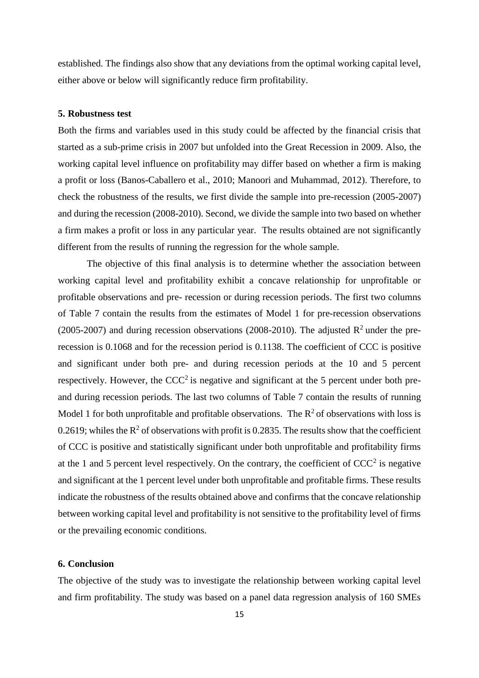established. The findings also show that any deviations from the optimal working capital level, either above or below will significantly reduce firm profitability.

## **5. Robustness test**

Both the firms and variables used in this study could be affected by the financial crisis that started as a sub-prime crisis in 2007 but unfolded into the Great Recession in 2009. Also, the working capital level influence on profitability may differ based on whether a firm is making a profit or loss (Banos-Caballero et al., 2010; Manoori and Muhammad, 2012). Therefore, to check the robustness of the results, we first divide the sample into pre-recession (2005-2007) and during the recession (2008-2010). Second, we divide the sample into two based on whether a firm makes a profit or loss in any particular year. The results obtained are not significantly different from the results of running the regression for the whole sample.

The objective of this final analysis is to determine whether the association between working capital level and profitability exhibit a concave relationship for unprofitable or profitable observations and pre- recession or during recession periods. The first two columns of Table 7 contain the results from the estimates of Model 1 for pre-recession observations (2005-2007) and during recession observations (2008-2010). The adjusted  $R^2$  under the prerecession is 0.1068 and for the recession period is 0.1138. The coefficient of CCC is positive and significant under both pre- and during recession periods at the 10 and 5 percent respectively. However, the  $CCC<sup>2</sup>$  is negative and significant at the 5 percent under both preand during recession periods. The last two columns of Table 7 contain the results of running Model 1 for both unprofitable and profitable observations. The  $R^2$  of observations with loss is 0.2619; whiles the  $R^2$  of observations with profit is 0.2835. The results show that the coefficient of CCC is positive and statistically significant under both unprofitable and profitability firms at the 1 and 5 percent level respectively. On the contrary, the coefficient of  $CCC<sup>2</sup>$  is negative and significant at the 1 percent level under both unprofitable and profitable firms. These results indicate the robustness of the results obtained above and confirms that the concave relationship between working capital level and profitability is not sensitive to the profitability level of firms or the prevailing economic conditions.

### **6. Conclusion**

The objective of the study was to investigate the relationship between working capital level and firm profitability. The study was based on a panel data regression analysis of 160 SMEs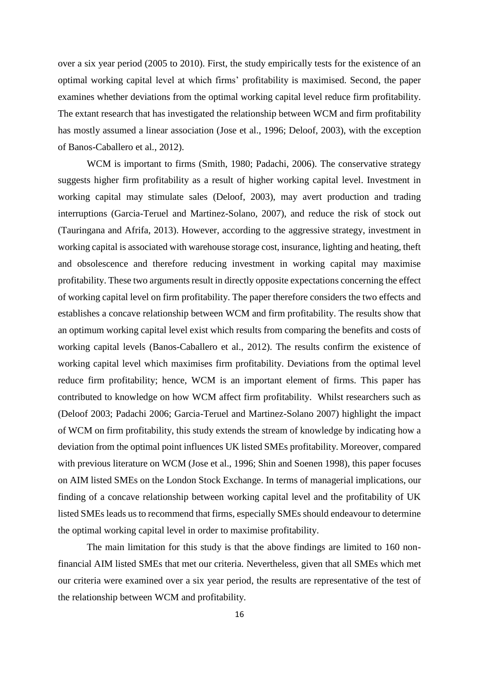over a six year period (2005 to 2010). First, the study empirically tests for the existence of an optimal working capital level at which firms' profitability is maximised. Second, the paper examines whether deviations from the optimal working capital level reduce firm profitability. The extant research that has investigated the relationship between WCM and firm profitability has mostly assumed a linear association (Jose et al., 1996; Deloof, 2003), with the exception of Banos-Caballero et al., 2012).

WCM is important to firms (Smith, 1980; Padachi, 2006). The conservative strategy suggests higher firm profitability as a result of higher working capital level. Investment in working capital may stimulate sales (Deloof, 2003), may avert production and trading interruptions (Garcia-Teruel and Martinez-Solano, 2007), and reduce the risk of stock out (Tauringana and Afrifa, 2013). However, according to the aggressive strategy, investment in working capital is associated with warehouse storage cost, insurance, lighting and heating, theft and obsolescence and therefore reducing investment in working capital may maximise profitability. These two arguments result in directly opposite expectations concerning the effect of working capital level on firm profitability. The paper therefore considers the two effects and establishes a concave relationship between WCM and firm profitability. The results show that an optimum working capital level exist which results from comparing the benefits and costs of working capital levels (Banos-Caballero et al., 2012). The results confirm the existence of working capital level which maximises firm profitability. Deviations from the optimal level reduce firm profitability; hence, WCM is an important element of firms. This paper has contributed to knowledge on how WCM affect firm profitability. Whilst researchers such as (Deloof 2003; Padachi 2006; Garcia-Teruel and Martinez-Solano 2007) highlight the impact of WCM on firm profitability, this study extends the stream of knowledge by indicating how a deviation from the optimal point influences UK listed SMEs profitability. Moreover, compared with previous literature on WCM (Jose et al., 1996; Shin and Soenen 1998), this paper focuses on AIM listed SMEs on the London Stock Exchange. In terms of managerial implications, our finding of a concave relationship between working capital level and the profitability of UK listed SMEs leads us to recommend that firms, especially SMEs should endeavour to determine the optimal working capital level in order to maximise profitability.

 The main limitation for this study is that the above findings are limited to 160 nonfinancial AIM listed SMEs that met our criteria. Nevertheless, given that all SMEs which met our criteria were examined over a six year period, the results are representative of the test of the relationship between WCM and profitability.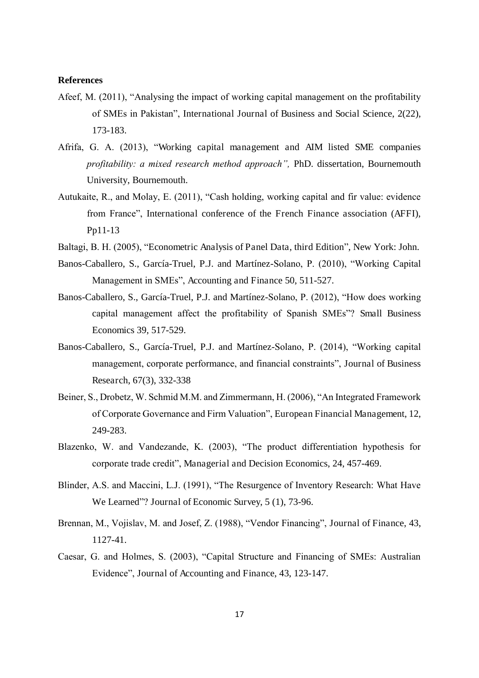#### **References**

- Afeef, M. (2011), "Analysing the impact of working capital management on the profitability of SMEs in Pakistan", International Journal of Business and Social Science, 2(22), 173-183.
- Afrifa, G. A. (2013), "Working capital management and AIM listed SME companies *profitability: a mixed research method approach",* PhD. dissertation, Bournemouth University, Bournemouth.
- Autukaite, R., and Molay, E. (2011), "Cash holding, working capital and fir value: evidence from France", International conference of the French Finance association (AFFI), Pp11-13
- Baltagi, B. H. (2005), "Econometric Analysis of Panel Data, third Edition", New York: John.
- Banos-Caballero, S., García-Truel, P.J. and Martínez-Solano, P. (2010), "Working Capital Management in SMEs", Accounting and Finance 50, 511-527.
- Banos-Caballero, S., García-Truel, P.J. and Martínez-Solano, P. (2012), "How does working capital management affect the profitability of Spanish SMEs"? Small Business Economics 39, 517-529.
- Banos-Caballero, S., García-Truel, P.J. and Martínez-Solano, P. (2014), "Working capital management, corporate performance, and financial constraints", Journal of Business Research, 67(3), 332-338
- Beiner, S., Drobetz, W. Schmid M.M. and Zimmermann, H. (2006), "An Integrated Framework of Corporate Governance and Firm Valuation", European Financial Management, 12, 249-283.
- Blazenko, W. and Vandezande, K. (2003), "The product differentiation hypothesis for corporate trade credit", Managerial and Decision Economics, 24, 457-469.
- Blinder, A.S. and Maccini, L.J. (1991), "The Resurgence of Inventory Research: What Have We Learned"? Journal of Economic Survey, 5 (1), 73-96.
- Brennan, M., Vojislav, M. and Josef, Z. (1988), "Vendor Financing", Journal of Finance, 43, 1127-41.
- Caesar, G. and Holmes, S. (2003), "Capital Structure and Financing of SMEs: Australian Evidence", Journal of Accounting and Finance, 43, 123-147.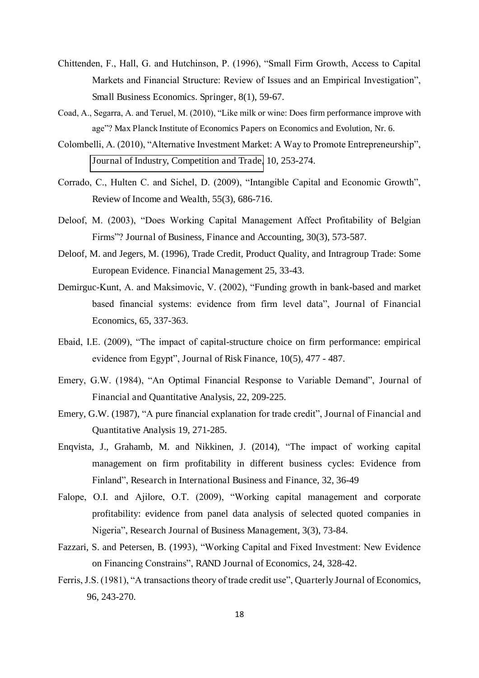- Chittenden, F., Hall, G. and Hutchinson, P. (1996), "Small Firm Growth, Access to Capital Markets and Financial Structure: Review of Issues and an Empirical Investigation", Small Business Economics. Springer, 8(1), 59-67.
- Coad, A., Segarra, A. and Teruel, M. (2010), "Like milk or wine: Does firm performance improve with age"? Max Planck Institute of Economics Papers on Economics and Evolution, Nr. 6.
- Colombelli, A. (2010), "Alternative Investment Market: A Way to Promote Entrepreneurship", [Journal of Industry, Competition and Trade,](http://ideas.repec.org/s/kap/jincot.html) 10, 253-274.
- Corrado, C., Hulten C. and Sichel, D. (2009), "Intangible Capital and Economic Growth", Review of Income and Wealth, 55(3), 686-716.
- Deloof, M. (2003), "Does Working Capital Management Affect Profitability of Belgian Firms"? Journal of Business, Finance and Accounting, 30(3), 573-587.
- Deloof, M. and Jegers, M. (1996), Trade Credit, Product Quality, and Intragroup Trade: Some European Evidence. Financial Management 25, 33-43.
- Demirguc-Kunt, A. and Maksimovic, V. (2002), "Funding growth in bank-based and market based financial systems: evidence from firm level data", Journal of Financial Economics, 65, 337-363.
- Ebaid, I.E. (2009), "The impact of capital-structure choice on firm performance: empirical evidence from Egypt", Journal of Risk Finance, 10(5), 477 - 487.
- Emery, G.W. (1984), "An Optimal Financial Response to Variable Demand", Journal of Financial and Quantitative Analysis, 22, 209-225.
- Emery, G.W. (1987), "A pure financial explanation for trade credit", Journal of Financial and Quantitative Analysis 19, 271-285.
- Enqvista, J., Grahamb, M. and Nikkinen, J. (2014), "The impact of working capital management on firm profitability in different business cycles: Evidence from Finland", Research in International Business and Finance, 32, 36-49
- Falope, O.I. and Ajilore, O.T. (2009), "Working capital management and corporate profitability: evidence from panel data analysis of selected quoted companies in Nigeria", Research Journal of Business Management, 3(3), 73-84.
- Fazzari, S. and Petersen, B. (1993), "Working Capital and Fixed Investment: New Evidence on Financing Constrains", RAND Journal of Economics, 24, 328-42.
- Ferris, J.S. (1981), "A transactions theory of trade credit use", Quarterly Journal of Economics, 96, 243-270.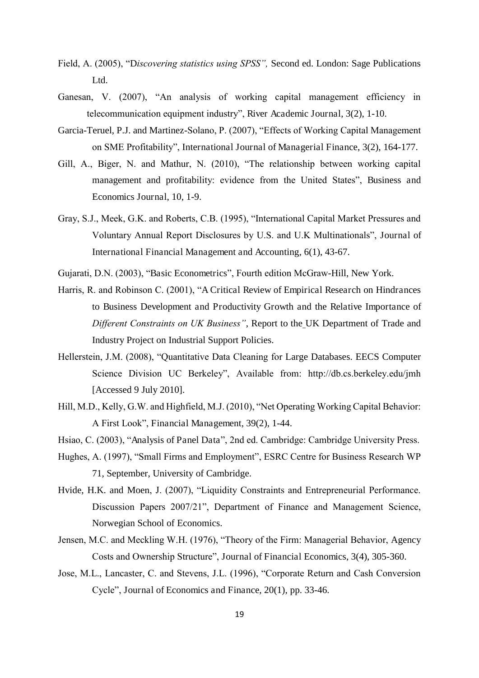- Field, A. (2005), "D*iscovering statistics using SPSS",* Second ed. London: Sage Publications Ltd.
- Ganesan, V. (2007), "An analysis of working capital management efficiency in telecommunication equipment industry", River Academic Journal, 3(2), 1-10.
- Garcia-Teruel, P.J. and Martinez-Solano, P. (2007), "Effects of Working Capital Management on SME Profitability", International Journal of Managerial Finance, 3(2), 164-177.
- Gill, A., Biger, N. and Mathur, N. (2010), "The relationship between working capital management and profitability: evidence from the United States", Business and Economics Journal, 10, 1-9.
- Gray, S.J., Meek, G.K. and Roberts, C.B. (1995), "International Capital Market Pressures and Voluntary Annual Report Disclosures by U.S. and U.K Multinationals", Journal of International Financial Management and Accounting, 6(1), 43-67.
- Gujarati, D.N. (2003), "Basic Econometrics", Fourth edition McGraw-Hill, New York.
- Harris, R. and Robinson C. (2001), "A Critical Review of Empirical Research on Hindrances to Business Development and Productivity Growth and the Relative Importance of *Different Constraints on UK Business"*, Report to the UK Department of Trade and Industry Project on Industrial Support Policies.
- Hellerstein, J.M. (2008), "Quantitative Data Cleaning for Large Databases. EECS Computer Science Division UC Berkeley", Available from: http://db.cs.berkeley.edu/jmh [Accessed 9 July 2010].
- Hill, M.D., Kelly, G.W. and Highfield, M.J. (2010), "Net Operating Working Capital Behavior: A First Look", Financial Management, 39(2), 1-44.
- Hsiao, C. (2003), "Analysis of Panel Data", 2nd ed. Cambridge: Cambridge University Press.
- Hughes, A. (1997), "Small Firms and Employment", ESRC Centre for Business Research WP 71, September, University of Cambridge.
- Hvide, H.K. and Moen, J. (2007), "Liquidity Constraints and Entrepreneurial Performance. Discussion Papers 2007/21", Department of Finance and Management Science, Norwegian School of Economics.
- Jensen, M.C. and Meckling W.H. (1976), "Theory of the Firm: Managerial Behavior, Agency Costs and Ownership Structure", Journal of Financial Economics, 3(4), 305-360.
- Jose, M.L., Lancaster, C. and Stevens, J.L. (1996), "Corporate Return and Cash Conversion Cycle", Journal of Economics and Finance, 20(1), pp. 33-46.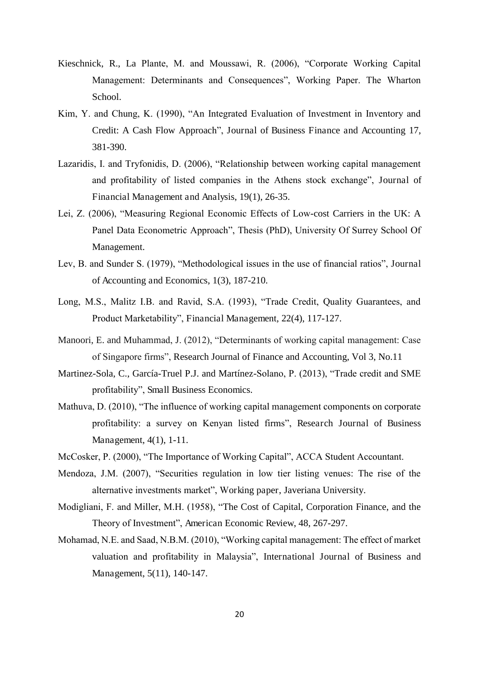- Kieschnick, R., La Plante, M. and Moussawi, R. (2006), "Corporate Working Capital Management: Determinants and Consequences", Working Paper. The Wharton School.
- Kim, Y. and Chung, K. (1990), "An Integrated Evaluation of Investment in Inventory and Credit: A Cash Flow Approach", Journal of Business Finance and Accounting 17, 381-390.
- Lazaridis, I. and Tryfonidis, D. (2006), "Relationship between working capital management and profitability of listed companies in the Athens stock exchange", Journal of Financial Management and Analysis, 19(1), 26-35.
- Lei, Z. (2006), "Measuring Regional Economic Effects of Low-cost Carriers in the UK: A Panel Data Econometric Approach", Thesis (PhD), University Of Surrey School Of Management.
- Lev, B. and Sunder S. (1979), "Methodological issues in the use of financial ratios", Journal of Accounting and Economics, 1(3), 187-210.
- Long, M.S., Malitz I.B. and Ravid, S.A. (1993), "Trade Credit, Quality Guarantees, and Product Marketability", Financial Management, 22(4), 117-127.
- Manoori, E. and Muhammad, J. (2012), "Determinants of working capital management: Case of Singapore firms", Research Journal of Finance and Accounting, Vol 3, No.11
- Martinez-Sola, C., García-Truel P.J. and Martínez-Solano, P. (2013), "Trade credit and SME profitability", Small Business Economics.
- Mathuva, D. (2010), "The influence of working capital management components on corporate profitability: a survey on Kenyan listed firms", Research Journal of Business Management, 4(1), 1-11.
- McCosker, P. (2000), "The Importance of Working Capital", ACCA Student Accountant.
- Mendoza, J.M. (2007), "Securities regulation in low tier listing venues: The rise of the alternative investments market", Working paper, Javeriana University.
- Modigliani, F. and Miller, M.H. (1958), "The Cost of Capital, Corporation Finance, and the Theory of Investment", American Economic Review, 48, 267-297.
- Mohamad, N.E. and Saad, N.B.M. (2010), "Working capital management: The effect of market valuation and profitability in Malaysia", International Journal of Business and Management, 5(11), 140-147.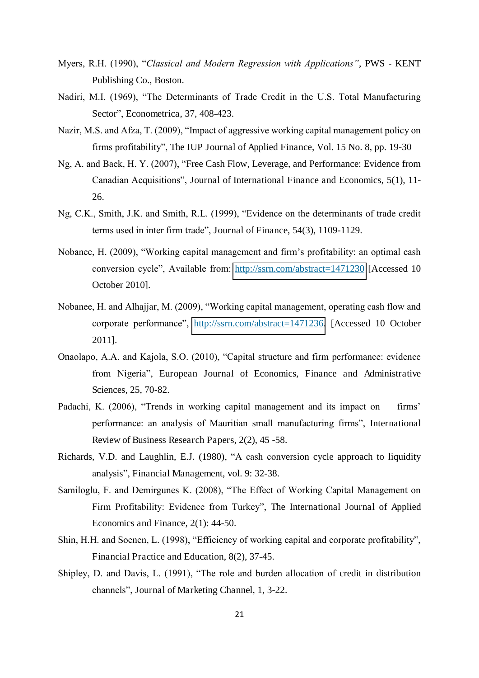- Myers, R.H. (1990), "*Classical and Modern Regression with Applications"*, PWS KENT Publishing Co., Boston.
- Nadiri, M.I. (1969), "The Determinants of Trade Credit in the U.S. Total Manufacturing Sector", Econometrica, 37, 408-423.
- Nazir, M.S. and Afza, T. (2009), "Impact of aggressive working capital management policy on firms profitability", The IUP Journal of Applied Finance, Vol. 15 No. 8, pp. 19-30
- Ng, A. and Baek, H. Y. (2007), "Free Cash Flow, Leverage, and Performance: Evidence from Canadian Acquisitions", Journal of International Finance and Economics, 5(1), 11- 26.
- Ng, C.K., Smith, J.K. and Smith, R.L. (1999), "Evidence on the determinants of trade credit terms used in inter firm trade", Journal of Finance, 54(3), 1109-1129.
- Nobanee, H. (2009), "Working capital management and firm's profitability: an optimal cash conversion cycle", Available from: <http://ssrn.com/abstract=1471230>[Accessed 10 October 2010].
- Nobanee, H. and Alhajjar, M. (2009), "Working capital management, operating cash flow and corporate performance", [http://ssrn.com/abstract=1471236.](http://ssrn.com/abstract=1471236) [Accessed 10 October 2011].
- Onaolapo, A.A. and Kajola, S.O. (2010), "Capital structure and firm performance: evidence from Nigeria", European Journal of Economics, Finance and Administrative Sciences, 25, 70-82.
- Padachi, K. (2006), "Trends in working capital management and its impact on firms' performance: an analysis of Mauritian small manufacturing firms", International Review of Business Research Papers, 2(2), 45 -58.
- Richards, V.D. and Laughlin, E.J. (1980), "A cash conversion cycle approach to liquidity analysis", Financial Management, vol. 9: 32-38.
- Samiloglu, F. and Demirgunes K. (2008), "The Effect of Working Capital Management on Firm Profitability: Evidence from Turkey", The International Journal of Applied Economics and Finance, 2(1): 44-50.
- Shin, H.H. and Soenen, L. (1998), "Efficiency of working capital and corporate profitability", Financial Practice and Education, 8(2), 37-45.
- Shipley, D. and Davis, L. (1991), "The role and burden allocation of credit in distribution channels", Journal of Marketing Channel, 1, 3-22.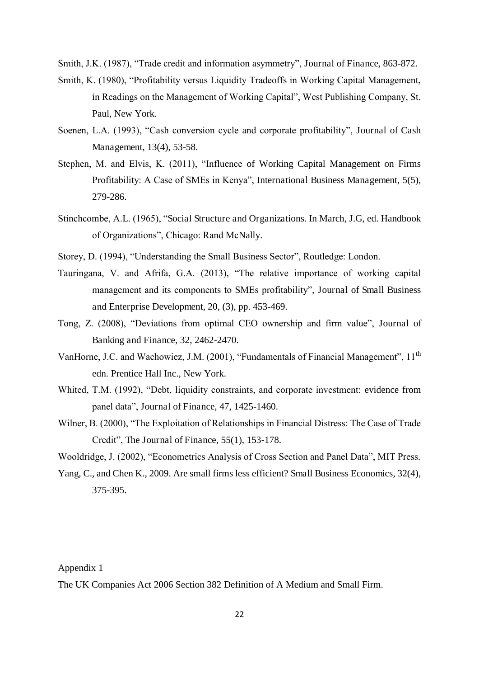Smith, J.K. (1987), "Trade credit and information asymmetry", Journal of Finance, 863-872.

- Smith, K. (1980), "Profitability versus Liquidity Tradeoffs in Working Capital Management, in Readings on the Management of Working Capital", West Publishing Company, St. Paul, New York.
- Soenen, L.A. (1993), "Cash conversion cycle and corporate profitability", Journal of Cash Management, 13(4), 53-58.
- Stephen, M. and Elvis, K. (2011), "Influence of Working Capital Management on Firms Profitability: A Case of SMEs in Kenya", International Business Management, 5(5), 279-286.
- Stinchcombe, A.L. (1965), "Social Structure and Organizations. In March, J.G, ed. Handbook of Organizations", Chicago: Rand McNally.
- Storey, D. (1994), "Understanding the Small Business Sector", Routledge: London.
- Tauringana, V. and Afrifa, G.A. (2013), "The relative importance of working capital management and its components to SMEs profitability", Journal of Small Business and Enterprise Development, 20, (3), pp. 453-469.
- Tong, Z. (2008), "Deviations from optimal CEO ownership and firm value", Journal of Banking and Finance, 32, 2462-2470.
- VanHorne, J.C. and Wachowiez, J.M. (2001), "Fundamentals of Financial Management", 11<sup>th</sup> edn. Prentice Hall Inc., New York.
- Whited, T.M. (1992), "Debt, liquidity constraints, and corporate investment: evidence from panel data", Journal of Finance, 47, 1425-1460.
- Wilner, B. (2000), "The Exploitation of Relationships in Financial Distress: The Case of Trade Credit", The Journal of Finance, 55(1), 153-178.
- Wooldridge, J. (2002), "Econometrics Analysis of Cross Section and Panel Data", MIT Press.
- Yang, C., and Chen K., 2009. Are small firms less efficient? Small Business Economics, 32(4), 375-395.

Appendix 1

The UK Companies Act 2006 Section 382 Definition of A Medium and Small Firm.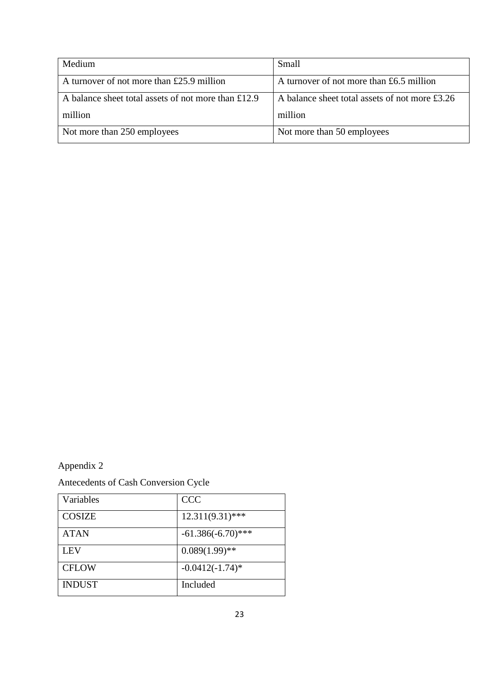| Medium                                              | Small                                          |
|-----------------------------------------------------|------------------------------------------------|
| A turnover of not more than £25.9 million           | A turnover of not more than $£6.5$ million     |
| A balance sheet total assets of not more than £12.9 | A balance sheet total assets of not more £3.26 |
| million                                             | million                                        |
| Not more than 250 employees                         | Not more than 50 employees                     |

Appendix 2

| Antecedents of Cash Conversion Cycle |  |  |  |
|--------------------------------------|--|--|--|
|--------------------------------------|--|--|--|

| Variables     | <b>CCC</b>           |
|---------------|----------------------|
| <b>COSIZE</b> | $12.311(9.31)$ ***   |
| <b>ATAN</b>   | $-61.386(-6.70)$ *** |
| <b>LEV</b>    | $0.089(1.99)$ **     |
| <b>CFLOW</b>  | $-0.0412(-1.74)$ *   |
| <b>INDUST</b> | Included             |